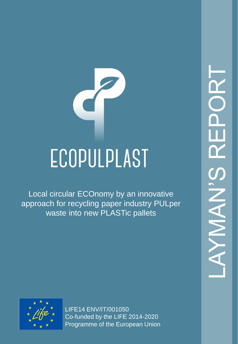# ECOPULPLAST

Local circular ECOnomy by an innovative approach for recycling paper industry PULper waste into new PLASTic pallets

LAYMAN'S REPORT  $\frac{\gamma}{\gamma}$ **NAN** AY



LIFE14 ENV/IT/001050 Co-funded by the LIFE 2014-2020 Programme of the European Union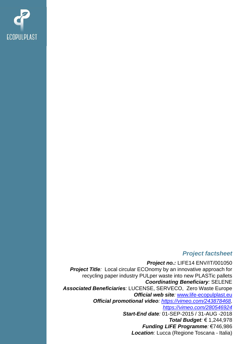

#### *Project factsheet*

*Project no.:* LIFE14 ENV/IT/001050 **Project Title**: Local circular ECOnomy by an innovative approach for recycling paper industry PULper waste into new PLASTic pallets *Coordinating Beneficiary:* SELENE *Associated Beneficiaries:* LUCENSE, SERVECO, Zero Waste Europe *Official web site:* [www.life-ecopulplast.eu](http://www.life-ecopulplast.eu/) *Official promotional video: [https://vimeo.com/243878468,](https://vimeo.com/243878468) <https://vimeo.com/280546924> Start-End date:* 01-SEP-2015 / 31-AUG -2018 *Total Budget:* € 1,244,978 *Funding LIFE Programme:* €746,986 *Location:* Lucca (Regione Toscana - Italia)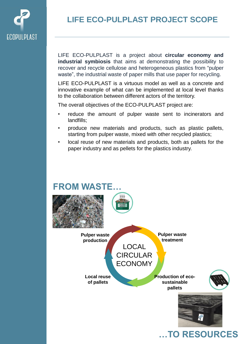

# **LIFE ECO-PULPLAST PROJECT SCOPE**

LIFE ECO-PULPLAST is a project about **circular economy and industrial symbiosis** that aims at demonstrating the possibility to recover and recycle cellulose and heterogeneous plastics from "pulper waste", the industrial waste of paper mills that use paper for recycling.

LIFE ECO-PULPLAST is a virtuous model as well as a concrete and innovative example of what can be implemented at local level thanks to the collaboration between different actors of the territory.

The overall objectives of the ECO-PULPLAST project are:

- reduce the amount of pulper waste sent to incinerators and landfills;
- produce new materials and products, such as plastic pallets, starting from pulper waste, mixed with other recycled plastics;
- local reuse of new materials and products, both as pallets for the paper industry and as pellets for the plastics industry.

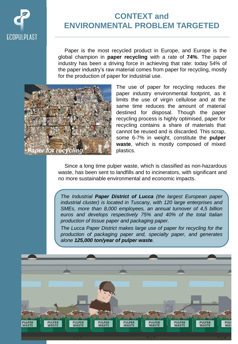

## **CONTEXT and ENVIRONMENTAL PROBLEM TARGETED**

Paper is the most recycled product in Europe, and Europe is the global champion in **paper recycling** with a rate of **74%**. The paper industry has been a driving force in achieving that rate: today 54% of the paper industry's raw material comes from paper for recycling, mostly for the production of paper for industrial use.



The use of paper for recycling reduces the paper industry environmental footprint, as it limits the use of virgin cellulose and at the same time reduces the amount of material destined for disposal. Though the paper recycling process is highly optimised, paper for recycling contains a share of materials that cannot be reused and is discarded. This scrap, some 6-7% in weight, constitute the **pulper waste**, which is mostly composed of mixed plastics.

Since a long time pulper waste, which is classified as non-hazardous waste, has been sent to landfills and to incinerators, with significant and no more sustainable environmental and economic impacts.

*The Industrial Paper District of Lucca (the largest European paper industrial cluster) is located in Tuscany, with 120 large enterprises and SMEs, more than 8,000 employees, an annual turnover of 4,5 billion euros and develops respectively 75% and 40% of the total Italian production of tissue paper and packaging paper.*

*The Lucca Paper District makes large use of paper for recycling for the production of packaging paper and, specialty paper, and generates alone 125,000 ton/year of pulper waste.*

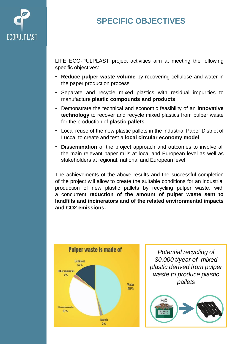

## **SPECIFIC OBJECTIVES**

LIFE ECO-PULPLAST project activities aim at meeting the following specific objectives:

- **Reduce pulper waste volume** by recovering cellulose and water in the paper production process
- Separate and recycle mixed plastics with residual impurities to manufacture **plastic compounds and products**
- Demonstrate the technical and economic feasibility of an **innovative technology** to recover and recycle mixed plastics from pulper waste for the production of **plastic pallets**
- Local reuse of the new plastic pallets in the industrial Paper District of Lucca, to create and test a **local circular economy model**
- **Dissemination** of the project approach and outcomes to involve all the main relevant paper mills at local and European level as well as stakeholders at regional, national and European level.

The achievements of the above results and the successful completion of the project will allow to create the suitable conditions for an industrial production of new plastic pallets by recycling pulper waste, with a concurrent **reduction of the amount of pulper waste sent to landfills and incinerators and of the related environmental impacts and CO2 emissions.**



*Potential recycling of 30.000 t/year of mixed plastic derived from pulper waste to produce plastic pallets*

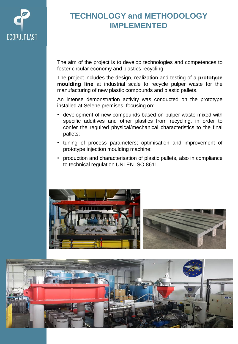

## **TECHNOLOGY and METHODOLOGY IMPLEMENTED**

The aim of the project is to develop technologies and competences to foster circular economy and plastics recycling.

The project includes the design, realization and testing of a **prototype moulding line** at industrial scale to recycle pulper waste for the manufacturing of new plastic compounds and plastic pallets.

An intense demonstration activity was conducted on the prototype installed at Selene premises, focusing on:

- development of new compounds based on pulper waste mixed with specific additives and other plastics from recycling, in order to confer the required physical/mechanical characteristics to the final pallets;
- tuning of process parameters; optimisation and improvement of prototype injection moulding machine;
- production and characterisation of plastic pallets, also in compliance to technical regulation UNI EN ISO 8611.





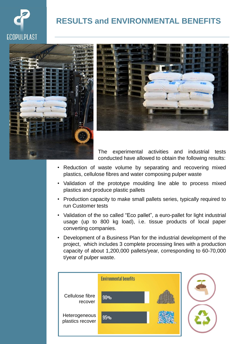

## **RESULTS and ENVIRONMENTAL BENEFITS**





The experimental activities and industrial tests conducted have allowed to obtain the following results:

- Reduction of waste volume by separating and recovering mixed plastics, cellulose fibres and water composing pulper waste
- Validation of the prototype moulding line able to process mixed plastics and produce plastic pallets
- Production capacity to make small pallets series, typically required to run Customer tests
- Validation of the so called "Eco pallet", a euro-pallet for light industrial usage (up to 800 kg load), i.e. tissue products of local paper converting companies.
- Development of a Business Plan for the industrial development of the project, which includes 3 complete processing lines with a production capacity of about 1,200,000 pallets/year, corresponding to 60-70,000 t/year of pulper waste.

|                                   | <b>Environmental benefits</b> |  |
|-----------------------------------|-------------------------------|--|
| Cellulose fibre<br>recover        | 90%                           |  |
| Heterogeneous<br>plastics recover | 95%                           |  |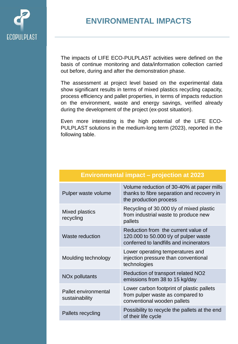

### **ENVIRONMENTAL IMPACTS**

The impacts of LIFE ECO-PULPLAST activities were defined on the basis of continue monitoring and data/information collection carried out before, during and after the demonstration phase.

The assessment at project level based on the experimental data show significant results in terms of mixed plastics recycling capacity, process efficiency and pallet properties, in terms of impacts reduction on the environment, waste and energy savings, verified already during the development of the project (ex-post situation).

Even more interesting is the high potential of the LIFE ECO-PULPLAST solutions in the medium-long term (2023), reported in the following table.

| Pulper waste volume                    | Volume reduction of 30-40% at paper mills<br>thanks to fibre separation and recovery in<br>the production process       |
|----------------------------------------|-------------------------------------------------------------------------------------------------------------------------|
| Mixed plastics<br>recycling            | Recycling of 30.000 t/y of mixed plastic<br>from industrial waste to produce new<br>pallets                             |
| Waste reduction                        | Reduction from the current value of<br>120.000 to 50.000 t/y of pulper waste<br>conferred to landfills and incinerators |
| Moulding technology                    | Lower operating temperatures and<br>injection pressure than conventional<br>technologies                                |
| NO <sub>x</sub> pollutants             | Reduction of transport related NO2<br>emissions from 38 to 15 kg/day                                                    |
| Pallet environmental<br>sustainability | Lower carbon footprint of plastic pallets<br>from pulper waste as compared to<br>conventional wooden pallets            |
| Pallets recycling                      | Possibility to recycle the pallets at the end<br>of their life cycle                                                    |

#### **Environmental impact – projection at 2023**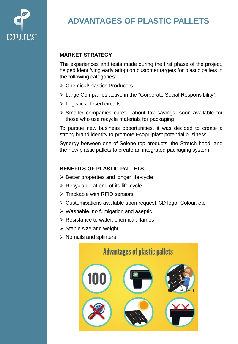

## **ADVANTAGES OF PLASTIC PALLETS**

#### **MARKET STRATEGY**

The experiences and tests made during the first phase of the project, helped identifying early adoption customer targets for plastic pallets in the following categories:

- Chemical/Plastics Producers
- Large Companies active in the "Corporate Social Responsibility".
- Logistics closed circuits
- Smaller companies careful about tax savings, soon available for those who use recycle materials for packaging

To pursue new business opportunities, it was decided to create a strong brand identity to promote Ecopulplast potential business.

Synergy between one of Selene top products, the Stretch hood, and the new plastic pallets to create an integrated packaging system.

#### **BENEFITS OF PLASTIC PALLETS**

- $\triangleright$  Better properties and longer life-cycle
- $\triangleright$  Recyclable at end of its life cycle
- $\triangleright$  Trackable with RFID sensors
- Customisations available upon request: 3D logo, Colour, etc.
- $\triangleright$  Washable, no fumigation and aseptic
- $\triangleright$  Resistance to water, chemical, flames
- $\triangleright$  Stable size and weight
- $\triangleright$  No nails and splinters

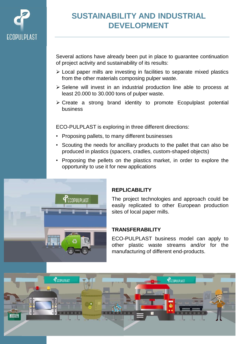

## **SUSTAINABILITY AND INDUSTRIAL DEVELOPMENT**

Several actions have already been put in place to guarantee continuation of project activity and sustainability of its results:

- Local paper mills are investing in facilities to separate mixed plastics from the other materials composing pulper waste.
- $\triangleright$  Selene will invest in an industrial production line able to process at least 20.000 to 30.000 tons of pulper waste.
- $\triangleright$  Create a strong brand identity to promote Ecopulplast potential business

ECO-PULPLAST is exploring in three different directions:

- Proposing pallets, to many different businesses
- Scouting the needs for ancillary products to the pallet that can also be produced in plastics (spacers, cradles, custom-shaped objects)
- Proposing the pellets on the plastics market, in order to explore the opportunity to use it for new applications



#### **REPLICABILITY**

The project technologies and approach could be easily replicated to other European production sites of local paper mills.

#### **TRANSFERABILITY**

ECO-PULPLAST business model can apply to other plastic waste streams and/or for the manufacturing of different end-products.

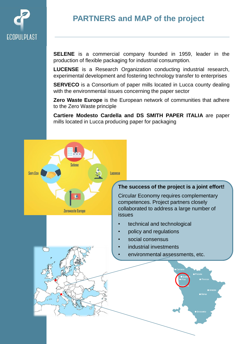

## **PARTNERS and MAP of the project**

**SELENE** is a commercial company founded in 1959, leader in the production of flexible packaging for industrial consumption.

**LUCENSE** is a Research Organization conducting industrial research, experimental development and fostering technology transfer to enterprises

**SERVECO** is a Consortium of paper mills located in Lucca county dealing with the environmental issues concerning the paper sector

**Zero Waste Europe** is the European network of communities that adhere to the Zero Waste principle